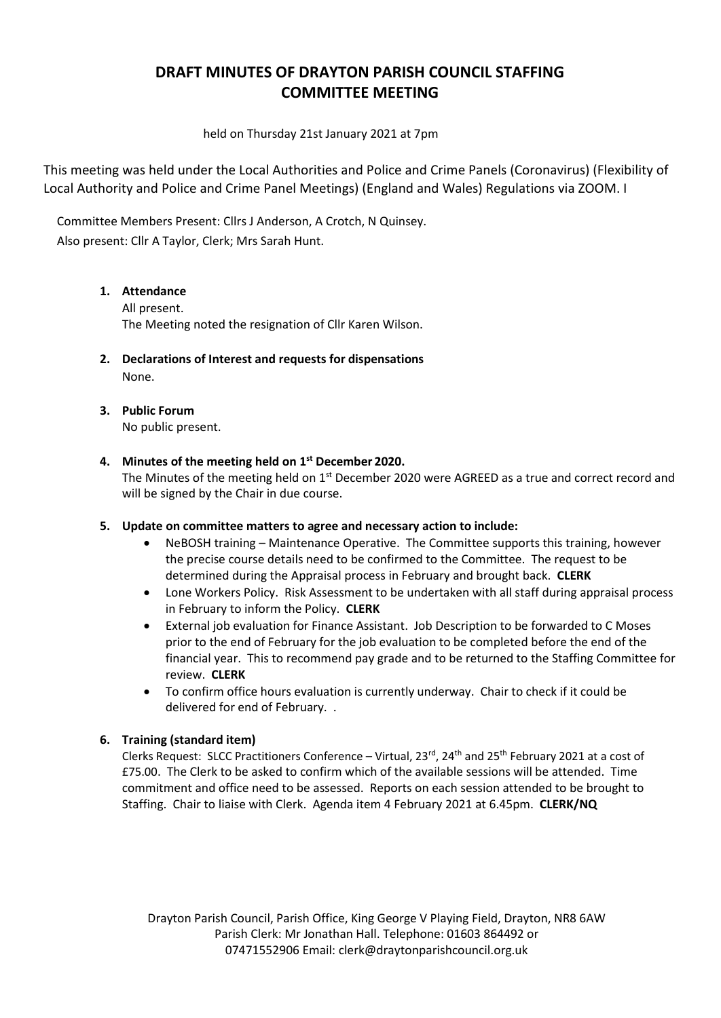# **DRAFT MINUTES OF DRAYTON PARISH COUNCIL STAFFING COMMITTEE MEETING**

held on Thursday 21st January 2021 at 7pm

This meeting was held under the Local Authorities and Police and Crime Panels (Coronavirus) (Flexibility of Local Authority and Police and Crime Panel Meetings) (England and Wales) Regulations via ZOOM. I

Committee Members Present: Cllrs J Anderson, A Crotch, N Quinsey. Also present: Cllr A Taylor, Clerk; Mrs Sarah Hunt.

## **1. Attendance**

All present. The Meeting noted the resignation of Cllr Karen Wilson.

- **2. Declarations of Interest and requests for dispensations** None.
- **3. Public Forum** No public present.

### **4. Minutes of the meeting held on 1st December 2020.**

The Minutes of the meeting held on 1<sup>st</sup> December 2020 were AGREED as a true and correct record and will be signed by the Chair in due course.

#### **5. Update on committee matters to agree and necessary action to include:**

- NeBOSH training Maintenance Operative. The Committee supports this training, however the precise course details need to be confirmed to the Committee. The request to be determined during the Appraisal process in February and brought back. **CLERK**
- Lone Workers Policy. Risk Assessment to be undertaken with all staff during appraisal process in February to inform the Policy. **CLERK**
- External job evaluation for Finance Assistant. Job Description to be forwarded to C Moses prior to the end of February for the job evaluation to be completed before the end of the financial year. This to recommend pay grade and to be returned to the Staffing Committee for review. **CLERK**
- To confirm office hours evaluation is currently underway. Chair to check if it could be delivered for end of February. .

## **6. Training (standard item)**

Clerks Request: SLCC Practitioners Conference – Virtual, 23<sup>rd</sup>, 24<sup>th</sup> and 25<sup>th</sup> February 2021 at a cost of £75.00. The Clerk to be asked to confirm which of the available sessions will be attended. Time commitment and office need to be assessed. Reports on each session attended to be brought to Staffing. Chair to liaise with Clerk. Agenda item 4 February 2021 at 6.45pm. **CLERK/NQ**

Drayton Parish Council, Parish Office, King George V Playing Field, Drayton, NR8 6AW Parish Clerk: Mr Jonathan Hall. Telephone: 01603 864492 or 07471552906 Email: [clerk@draytonparishcouncil.org.uk](mailto:clerk@draytonparishcouncil.org.uk)